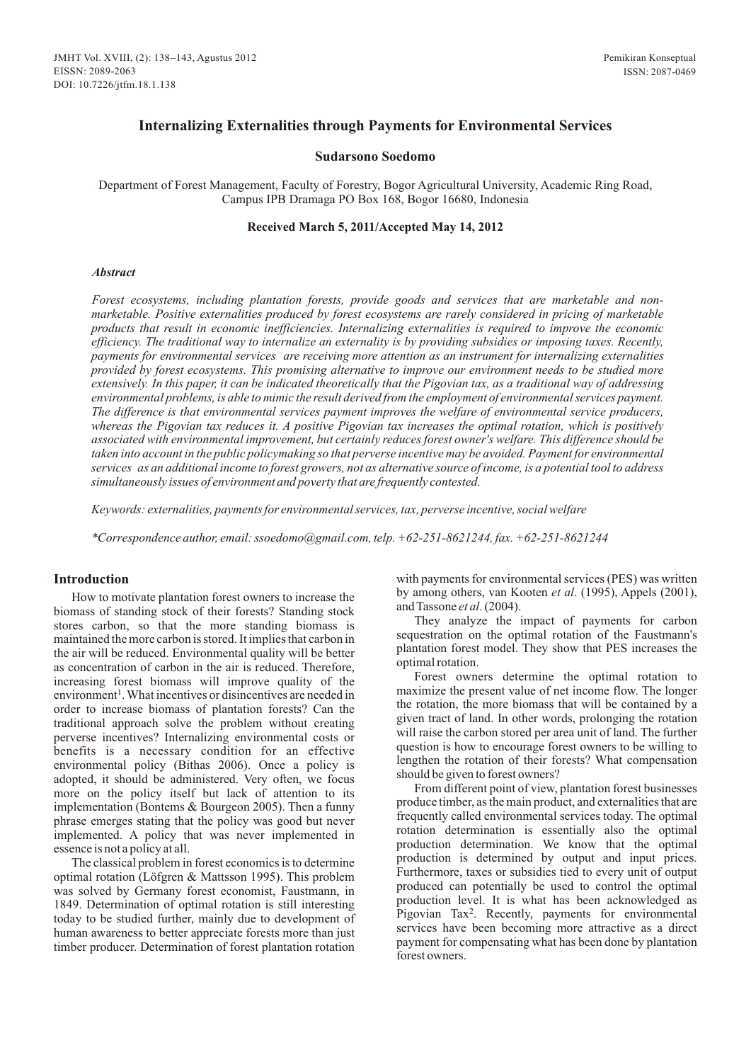# **Internalizing Externalities through Payments for Environmental Services**

### **Sudarsono Soedomo**

Department of Forest Management, Faculty of Forestry, Bogor Agricultural University, Academic Ring Road, Campus IPB Dramaga PO Box 168, Bogor 16680, Indonesia

#### **Received March 5, 2011/Accepted May 14, 201 2**

#### *Abstract*

*Forest ecosystems, including plantation forests, provide goods and services that are marketable and nonmarketable. Positive externalities produced by forest ecosystems are rarely considered in pricing of marketable products that result in economic inefficiencies. Internalizing externalities is required to improve the economic efficiency. The traditional way to internalize an externality is by providing subsidies or imposing taxes. Recently, payments for environmental services are receiving more attention as an instrument for internalizing externalities provided by forest ecosystems. This promising alternative to improve our environment needs to be studied more extensively. In this paper, it can be indicated theoretically that the Pigovian tax, as a traditional way of addressing environmental problems, is able to mimic the result derived from the employment of environmental services payment. The difference is that environmental services payment improves the welfare of environmental service producers, whereas the Pigovian tax reduces it. A positive Pigovian tax increases the optimal rotation, which is positively associated with environmental improvement, but certainly reduces forest owner's welfare. This difference should be taken into account in the public policymaking so that perverse incentive may be avoided. Payment for environmental services as an additional income to forest growers, not as alternative source of income, is a potential tool to address simultaneously issues of environment and poverty that are frequently contested.*

*Keywords: externalities, payments for environmental services, tax, perverse incentive, social welfare*

*\*Correspondence author, email: ssoedomo@gmail.com, telp. +62-251-8621244, fax.+62-251-8621244*

### **Introductio**

How to motivate plantation forest owners to increase the biomass of standing stock of their forests? Standing stock stores carbon, so that the more standing biomass is maintained the more carbon is stored. It implies that carbon in the air will be reduced. Environmental quality will be better as concentration of carbon in the air is reduced. Therefore, increasing forest biomass will improve quality of the environment<sup>1</sup>. What incentives or disincentives are needed in order to increase biomass of plantation forests? Can the traditional approach solve the problem without creating perverse incentives? Internalizing environmental costs or benefits is a necessary condition for an effective environmental policy (Bithas 2006). Once a policy is adopted, it should be administered. Very often, we focus more on the policy itself but lack of attention to its implementation (Bontems & Bourgeon 2005). Then a funny phrase emerges stating that the policy was good but never implemented. A policy that was never implemented in essence is not a policy at all.

The classical problem in forest economics is to determine optimal rotation (Löfgren & Mattsson 1995). This problem was solved by Germany forest economist, Faustmann, in 1849. Determination of optimal rotation is still interesting today to be studied further, mainly due to development of human awareness to better appreciate forests more than just timber producer. Determination of forest plantation rotation

with payments for environmental services (PES) was written by among others, van Kooten *et al*. (1995), Appels (2001), and Tassone *et al*. (2004).

They analyze the impact of payments for carbon sequestration on the optimal rotation of the Faustmann's plantation forest model. They show that PES increases the optimal rotation.

Forest owners determine the optimal rotation to maximize the present value of net income flow. The longer the rotation, the more biomass that will be contained by a given tract of land. In other words, prolonging the rotation will raise the carbon stored per area unit of land. The further question is how to encourage forest owners to be willing to lengthen the rotation of their forests? What compensation should be given to forest owners?

From different point of view, plantation forest businesses produce timber, as the main product, and externalities that are frequently called environmental services today. The optimal rotation determination is essentially also the optimal production determination. We know that the optimal production is determined by output and input prices. Furthermore, taxes or subsidies tied to every unit of output produced can potentially be used to control the optimal production level. It is what has been acknowledged as Pigovian Tax<sup>2</sup>. Recently, payments for environmental services have been becoming more attractive as a direct payment for compensating what has been done by plantation forest owners.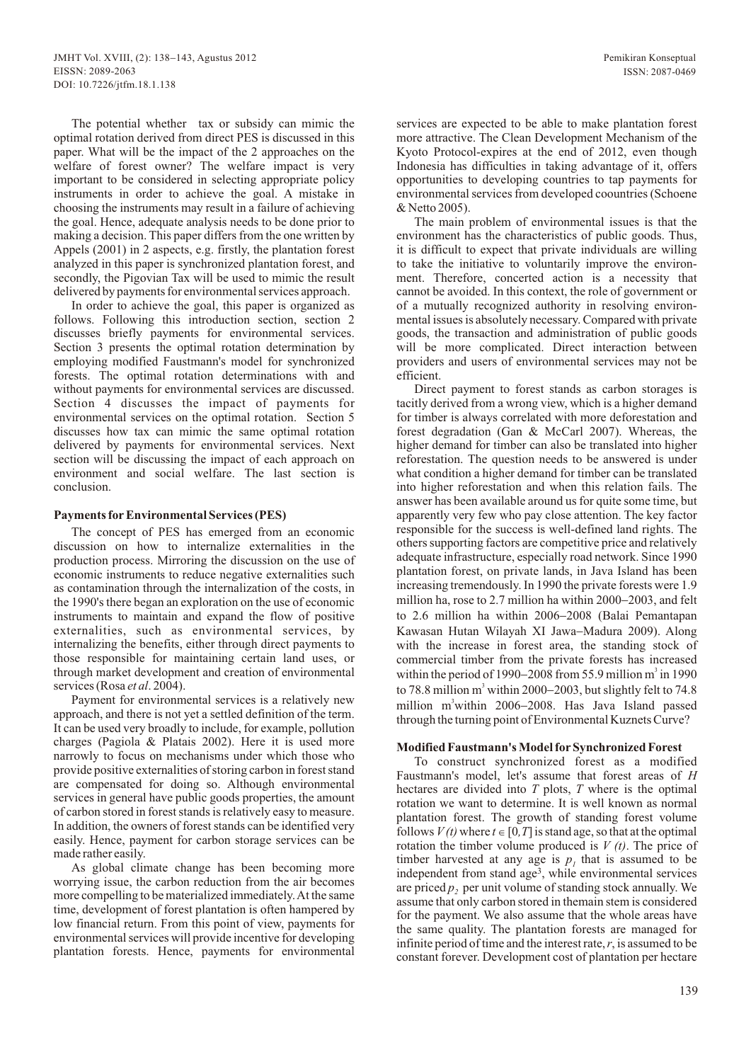The potential whether tax or subsidy can mimic the optimal rotation derived from direct PES is discussed in this paper. What will be the impact of the 2 approaches on the welfare of forest owner? The welfare impact is very important to be considered in selecting appropriate policy instruments in order to achieve the goal. A mistake in choosing the instruments may result in a failure of achieving the goal. Hence, adequate analysis needs to be done prior to making a decision. This paper differs from the one written by Appels (2001) in 2 aspects, e.g. firstly, the plantation forest analyzed in this paper is synchronized plantation forest, and secondly, the Pigovian Tax will be used to mimic the result delivered by payments for environmental services approach.

In order to achieve the goal, this paper is organized as follows. Following this introduction section, section 2 discusses briefly payments for environmental services. Section 3 presents the optimal rotation determination by employing modified Faustmann's model for synchronized forests. The optimal rotation determinations with and without payments for environmental services are discussed. Section 4 discusses the impact of payments for environmental services on the optimal rotation. Section 5 discusses how tax can mimic the same optimal rotation delivered by payments for environmental services. Next section will be discussing the impact of each approach on environment and social welfare. The last section is conclusion.

# **Payments forEnvironmental Services (PES)**

The concept of PES has emerged from an economic discussion on how to internalize externalities in the production process. Mirroring the discussion on the use of economic instruments to reduce negative externalities such as contamination through the internalization of the costs, in the 1990's there began an exploration on the use of economic instruments to maintain and expand the flow of positive externalities, such as environmental services, by internalizing the benefits, either through direct payments to those responsible for maintaining certain land uses, or through market development and creation of environmental services (Rosa *et al*. 2004).

Payment for environmental services is a relatively new approach, and there is not yet a settled definition of the term. It can be used very broadly to include, for example, pollution charges (Pagiola & Platais 2002). Here it is used more narrowly to focus on mechanisms under which those who provide positive externalities of storing carbon in forest stand are compensated for doing so. Although environmental services in general have public goods properties, the amount of carbon stored in forest stands is relatively easy to measure. In addition, the owners of forest stands can be identified very easily. Hence, payment for carbon storage services can be made rather easily.

As global climate change has been becoming more worrying issue, the carbon reduction from the air becomes more compelling to be materialized immediately. At the same time, development of forest plantation is often hampered by low financial return. From this point of view, payments for environmental services will provide incentive for developing plantation forests. Hence, payments for environmental

services are expected to be able to make plantation forest more attractive. The Clean Development Mechanism of the Kyoto Protocol-expires at the end of 2012, even though Indonesia has difficulties in taking advantage of it, offers opportunities to developing countries to tap payments for environmental services from developed coountries (Schoene & Netto 2005).

The main problem of environmental issues is that the environment has the characteristics of public goods. Thus, it is difficult to expect that private individuals are willing to take the initiative to voluntarily improve the environment. Therefore, concerted action is a necessity that cannot be avoided. In this context, the role of government or of a mutually recognized authority in resolving environmental issues is absolutely necessary. Compared with private goods, the transaction and administration of public goods will be more complicated. Direct interaction between providers and users of environmental services may not be efficient.

Direct payment to forest stands as carbon storages is tacitly derived from a wrong view, which is a higher demand for timber is always correlated with more deforestation and forest degradation (Gan & McCarl 2007). Whereas, the higher demand for timber can also be translated into higher reforestation. The question needs to be answered is under what condition a higher demand for timber can be translated into higher reforestation and when this relation fails. The answer has been available around us for quite some time, but apparently very few who pay close attention. The key factor responsible for the success is well-defined land rights. The others supporting factors are competitive price and relatively adequate infrastructure, especially road network. Since 1990 plantation forest, on private lands, in Java Island has been increasing tremendously. In 1990 the private forests were 1.9 million ha, rose to 2.7 million ha within 2000-2003, and felt to 2.6 million ha within 2006-2008 (Balai Pemantapan Kawasan Hutan Wilayah XI Jawa-Madura 2009). Along with the increase in forest area, the standing stock of commercial timber from the private forests has increased within the period of 1990–2008 from 55.9 million  $m^3$  in 1990 to 78.8 million  $m^3$  within 2000–2003, but slightly felt to 74.8 million m<sup>3</sup> within 2006-2008. Has Java Island passed through the turning point of Environmental Kuznets Curve?

### **Modified Faustmann's Model forSynchronized Forest**

To construct synchronized forest as a modified Faustmann's model, let's assume that forest areas of *H* hectares are divided into *T* plots, *T* where is the optimal rotation we want to determine. It is well known as normal plantation forest. The growth of standing forest volume follows  $V(t)$  where  $t \in [0, T]$  is stand age, so that at the optimal rotation the timber volume produced is *V (t)*. The price of timber harvested at any age is  $p_i$ , that is assumed to be independent from stand age<sup>3</sup>, while environmental services are priced  $p$ , per unit volume of standing stock annually. We assume that only carbon stored in themain stem is considered for the payment. We also assume that the whole areas have the same quality. The plantation forests are managed for infinite period of time and the interest rate,*r*, is assumed to be constant forever. Development cost of plantation per hectare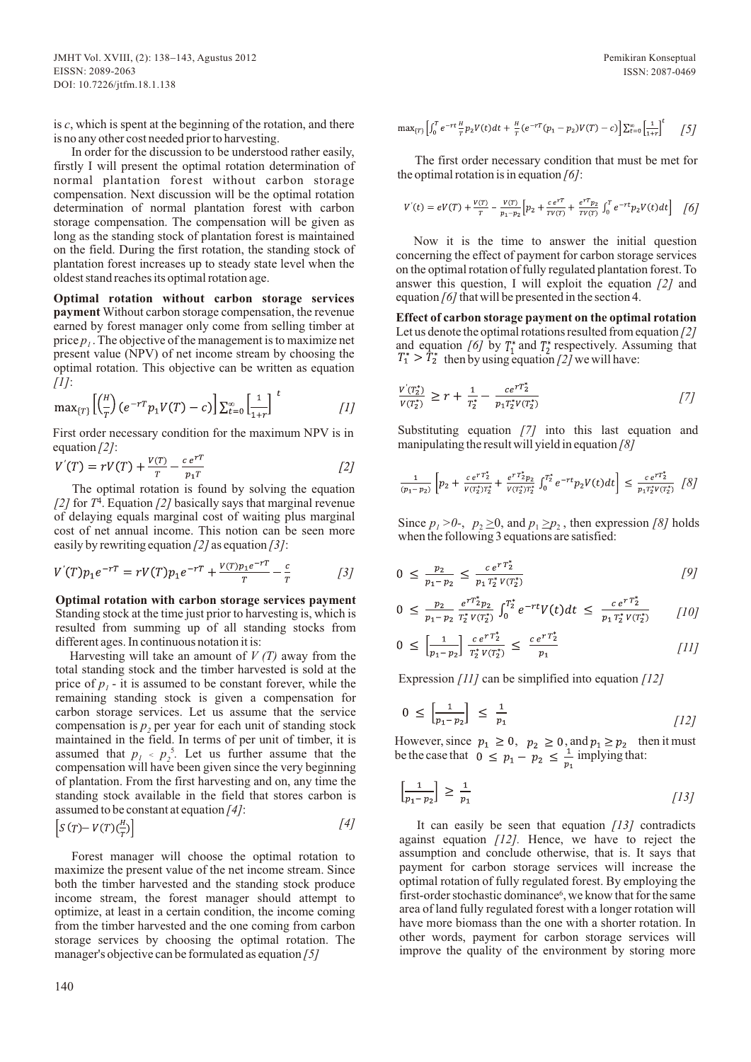is *c*, which is spent at the beginning of the rotation, and there is no any other cost needed prior to harvesting.

In order for the discussion to be understood rather easily, firstly I will present the optimal rotation determination of normal plantation forest without carbon storage compensation. Next discussion will be the optimal rotation determination of normal plantation forest with carbon storage compensation. The compensation will be given as long as the standing stock of plantation forest is maintained on the field. During the first rotation, the standing stock of plantation forest increases up to steady state level when the oldest stand reaches its optimal rotation age.

**Optimal rotation without carbon storage services payment** Without carbon storage compensation, the revenue earned by forest manager only come from selling timber at price  $p_i$ . The objective of the management is to maximize net present value (NPV) of net income stream by choosing the optimal rotation. This objective can be written as equation *[1]*:

$$
\max_{\{T\}} \left[ \left( \frac{\mu}{T} \right) \left( e^{-rT} p_1 V(T) - c \right) \right] \sum_{t=0}^{\infty} \left[ \frac{1}{1+r} \right]^t \qquad [1]
$$

First order necessary condition for the maximum NPV is in equation *[2]*:

$$
V'(T) = rV(T) + \frac{V(T)}{T} - \frac{c e^{rT}}{p_1 T}
$$
 [2]

The optimal rotation is found by solving the equation  $\frac{1}{2}$  for  $T^4$ . Equation  $\frac{2}{2}$  basically says that marginal revenue of delaying equals marginal cost of waiting plus marginal cost of net annual income. This notion can be seen more easily by rewriting equation *[2]* as equation *[3]*:

$$
V'(T)p_1e^{-rT} = rV(T)p_1e^{-rT} + \frac{V(T)p_1e^{-rT}}{T} - \frac{c}{T}
$$
 [3]

**Optimal rotation with carbon storage services payment**  Standing stock at the time just prior to harvesting is, which is resulted from summing up of all standing stocks from different ages. In continuous notation it is:

Harvesting will take an amount of  $V(T)$  away from the total standing stock and the timber harvested is sold at the price of  $p_1$  - it is assumed to be constant forever, while the remaining standing stock is given a compensation for carbon storage services. Let us assume that the service compensation is  $p_2$  per year for each unit of standing stock maintained in the field. In terms of per unit of timber, it is assumed that  $p_1 \text{ } < p_2$ <sup>5</sup>. Let us further assume that the compensation will have been given since the very beginning of plantation. From the first harvesting and on, any time the standing stock available in the field that stores carbon is assumed to be constant at equation *[4]*: *[4]*

$$
\[ S\left(T\right) - V\left(T\right) \left(\frac{n}{T}\right) \] \tag{4}
$$

Forest manager will choose the optimal rotation to maximize the present value of the net income stream. Since both the timber harvested and the standing stock produce income stream, the forest manager should attempt to optimize, at least in a certain condition, the income coming from the timber harvested and the one coming from carbon storage services by choosing the optimal rotation. The manager's objective can be formulated as equation *[5]*

Pemikiran Konseptual ISSN: 2087-0469

$$
\max_{\{T\}} \left[ \int_0^T e^{-rt} \frac{H}{T} p_2 V(t) dt + \frac{H}{T} (e^{-rT} (p_1 - p_2) V(T) - c) \right] \sum_{t=0}^{\infty} \left[ \frac{1}{1+r} \right]^t \quad \text{[5]}.
$$

The first order necessary condition that must be met for the optimal rotation is in equation *[6]*:

$$
V'(t) = eV(T) + \frac{V(T)}{T} - \frac{V(T)}{p_1 - p_2} \left[ p_2 + \frac{c e^{rT}}{T V(T)} + \frac{e^{rT} p_2}{T V(T)} \int_0^T e^{-rt} p_2 V(t) dt \right] \quad [6]
$$

Now it is the time to answer the initial question concerning the effect of payment for carbon storage services on the optimal rotation of fully regulated plantation forest. To answer this question, I will exploit the equation *[2]* and equation *[6]* that will be presented in the section 4.

**Effect of carbon storage payment on the optimal rotation**  Let us denote the optimal rotations resulted from equation *[2]*  and equation *[6]* by  $T_1^*$  and  $T_2^*$  respectively. Assuming that  $> T_2^*$  then by using equation [2] we will have:

$$
\frac{v'(T_2^*)}{v(T_2^*)} \ge r + \frac{1}{T_2^*} - \frac{ce^{rT_2^*}}{p_1 T_2^* v(T_2^*)}
$$

Substituting equation *[7]* into this last equation and manipulating the result will yield in equation *[8]*

$$
\frac{1}{(p_1 - p_2)} \left[ p_2 + \frac{c e^{r T_2^*}}{V(T_2^*) T_2^*} + \frac{e^{r T_2^*} p_2}{V(T_2^*) T_2^*} \int_0^{T_2^*} e^{-r t} p_2 V(t) dt \right] \le \frac{c e^{r T_2^*}}{p_1 T_2^* V(T_2^*)} \left[ \delta \right]
$$

Since  $p_1 > 0$ -,  $p_2 \ge 0$ , and  $p_1 \ge p_2$ , then expression [8] holds when the following 3 equations are satisfied:

$$
0 \leq \frac{p_2}{p_1 - p_2} \leq \frac{ce^{rT_2^*}}{p_1 T_2^* V(T_2^*)}
$$
 [9]

$$
0 \leq \frac{p_2}{p_1 - p_2} \frac{e^{rT_2^*} p_2}{r_2^* v(r_2^*)} \int_0^{T_2^*} e^{-rt} V(t) dt \leq \frac{c e^{rT_2^*}}{p_1 T_2^* v(r_2^*)} \qquad [10]
$$

$$
0 \leq \left[\frac{1}{p_1 - p_2}\right] \frac{c e^{r T_2^*}}{T_2^* V(T_2^*)} \leq \frac{c e^{r T_2^*}}{p_1} \tag{11}
$$

Expression *[11]* can be simplified into equation *[12]*

$$
0 \le \left[\frac{1}{p_1 - p_2}\right] \le \frac{1}{p_1} \tag{12}
$$

However, since  $p_1 \ge 0$ ,  $p_2 \ge 0$ , and  $p_1 \ge p_2$  then it must be the case that  $0 \leq p_1 - p_2 \leq \frac{1}{2}$  implying that:

$$
\left[\frac{1}{p_1 - p_2}\right] \ge \frac{1}{p_1} \tag{13}
$$

It can easily be seen that equation *[13]* contradicts against equation *[12].* Hence, we have to reject the assumption and conclude otherwise, that is. It says that payment for carbon storage services will increase the optimal rotation of fully regulated forest. By employing the first-order stochastic dominance<sup>6</sup>, we know that for the same area of land fully regulated forest with a longer rotation will have more biomass than the one with a shorter rotation. In other words, payment for carbon storage services will improve the quality of the environment by storing more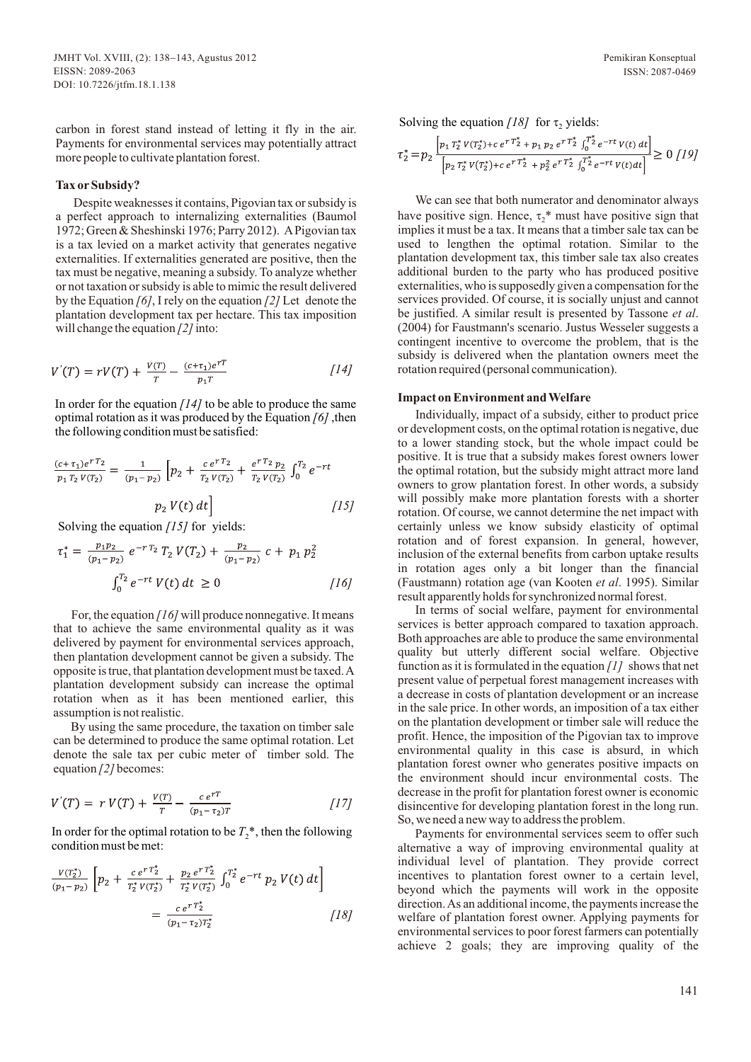carbon in forest stand instead of letting it fly in the air. Payments for environmental services may potentially attract more people to cultivate plantation forest.

# Tax or Subsidy?

Despite weaknesses it contains, Pigovian tax or subsidy is a perfect approach to internalizing externalities (Baumol 1972; Green & Sheshinski 1976; Parry 2012). APigovian tax is a tax levied on a market activity that generates negative externalities. If externalities generated are positive, then the tax must be negative, meaning a subsidy. To analyze whether or not taxation or subsidy is able to mimic the result delivered by the Equation *[6]*, I rely on the equation *[2]* Let denote the plantation development tax per hectare. This tax imposition will change the equation  $\frac{2}{i}$  into:

$$
V'(T) = rV(T) + \frac{V(T)}{T} - \frac{(c + \tau_1)e^{rT}}{p_1T}
$$
 [14]

In order for the equation *[14]* to be able to produce the same optimal rotation as it was produced by the Equation *[6]* ,then the following condition must be satisfied:

$$
\frac{(c+\tau_1)e^{rT_2}}{p_1T_2V(T_2)} = \frac{1}{(p_1-p_2)} \left[ p_2 + \frac{c e^{rT_2}}{T_2V(T_2)} + \frac{e^{rT_2}p_2}{T_2V(T_2)} \int_0^{T_2} e^{-rt} \right]
$$
  

$$
p_2 V(t) dt \Bigg]
$$
 [15]

Solving the equation *[15]* for yields:

$$
\tau_1^* = \frac{p_1 p_2}{(p_1 - p_2)} e^{-r T_2} T_2 V(T_2) + \frac{p_2}{(p_1 - p_2)} c + p_1 p_2^2
$$
  

$$
\int_0^{T_2} e^{-rt} V(t) dt \ge 0
$$
 [16]

For, the equation *[16]* will produce nonnegative. It means that to achieve the same environmental quality as it was delivered by payment for environmental services approach, then plantation development cannot be given a subsidy. The opposite is true, that plantation development must be taxed. A plantation development subsidy can increase the optimal rotation when as it has been mentioned earlier, this assumption is not realistic.

By using the same procedure, the taxation on timber sale can be determined to produce the same optimal rotation. Let denote the sale tax per cubic meter of timber sold. The equation *[2]* becomes:

$$
V'(T) = r V(T) + \frac{V(T)}{T} - \frac{c e^{rT}}{(p_1 - \tau_2)T}
$$
 [17]

In order for the optimal rotation to be  $T_2^*$ , then the following condition must be met:

$$
\frac{V(T_2^*)}{(p_1 - p_2)} \left[ p_2 + \frac{c e^{r T_2^*}}{T_2^* V(T_2^*)} + \frac{p_2 e^{r T_2^*}}{T_2^* V(T_2^*)} \int_0^{T_2^*} e^{-rt} p_2 V(t) dt \right]
$$

$$
= \frac{c e^{r T_2^*}}{(p_1 - \tau_2) T_2^*}
$$
 [18]

Solving the equation  $\frac{18}{1}$  for  $\tau$ , yields:

$$
\tau_2^* = p_2 \frac{\left[p_1 \, T_2^* \, V(T_2^*) + c \, e^{r \, T_2^*} + p_1 \, p_2 \, e^{r \, T_2^*} \int_0^{T_2^*} e^{-rt} \, V(t) \, dt\right]}{\left[p_2 \, T_2^* \, V(T_2^*) + c \, e^{r \, T_2^*} + p_2^2 \, e^{r \, T_2^*} \int_0^{T_2^*} e^{-rt} \, V(t) \, dt\right]} \ge 0 \, \left[19\right]
$$

We can see that both numerator and denominator always have positive sign. Hence,  $\tau$ <sup>\*</sup> must have positive sign that implies it must be a tax. It means that a timber sale tax can be used to lengthen the optimal rotation. Similar to the plantation development tax, this timber sale tax also creates additional burden to the party who has produced positive externalities, who is supposedly given a compensation for the services provided. Of course, it is socially unjust and cannot be justified. A similar result is presented by Tassone *et al*. (2004) for Faustmann's scenario. Justus Wesseler suggests a contingent incentive to overcome the problem, that is the subsidy is delivered when the plantation owners meet the rotation required (personal communication).

#### **Impact on Environment and Welfare**

Individually, impact of a subsidy, either to product price or development costs, on the optimal rotation is negative, due to a lower standing stock, but the whole impact could be positive. It is true that a subsidy makes forest owners lower the optimal rotation, but the subsidy might attract more land owners to grow plantation forest. In other words, a subsidy will possibly make more plantation forests with a shorter rotation. Of course, we cannot determine the net impact with certainly unless we know subsidy elasticity of optimal rotation and of forest expansion. In general, however, inclusion of the external benefits from carbon uptake results in rotation ages only a bit longer than the financial (Faustmann) rotation age (van Kooten *et al*. 1995). Similar result apparently holds for synchronized normal forest.

In terms of social welfare, payment for environmental services is better approach compared to taxation approach. Both approaches are able to produce the same environmental quality but utterly different social welfare. Objective function as it is formulated in the equation *[1]* shows that net present value of perpetual forest management increases with a decrease in costs of plantation development or an increase in the sale price. In other words, an imposition of a tax either on the plantation development or timber sale will reduce the profit. Hence, the imposition of the Pigovian tax to improve environmental quality in this case is absurd, in which plantation forest owner who generates positive impacts on the environment should incur environmental costs. The decrease in the profit for plantation forest owner is economic disincentive for developing plantation forest in the long run. So, we need a new way to address the problem.

Payments for environmental services seem to offer such alternative a way of improving environmental quality at individual level of plantation. They provide correct incentives to plantation forest owner to a certain level, beyond which the payments will work in the opposite direction. As an additional income, the payments increase the welfare of plantation forest owner. Applying payments for environmental services to poor forest farmers can potentially achieve 2 goals; they are improving quality of the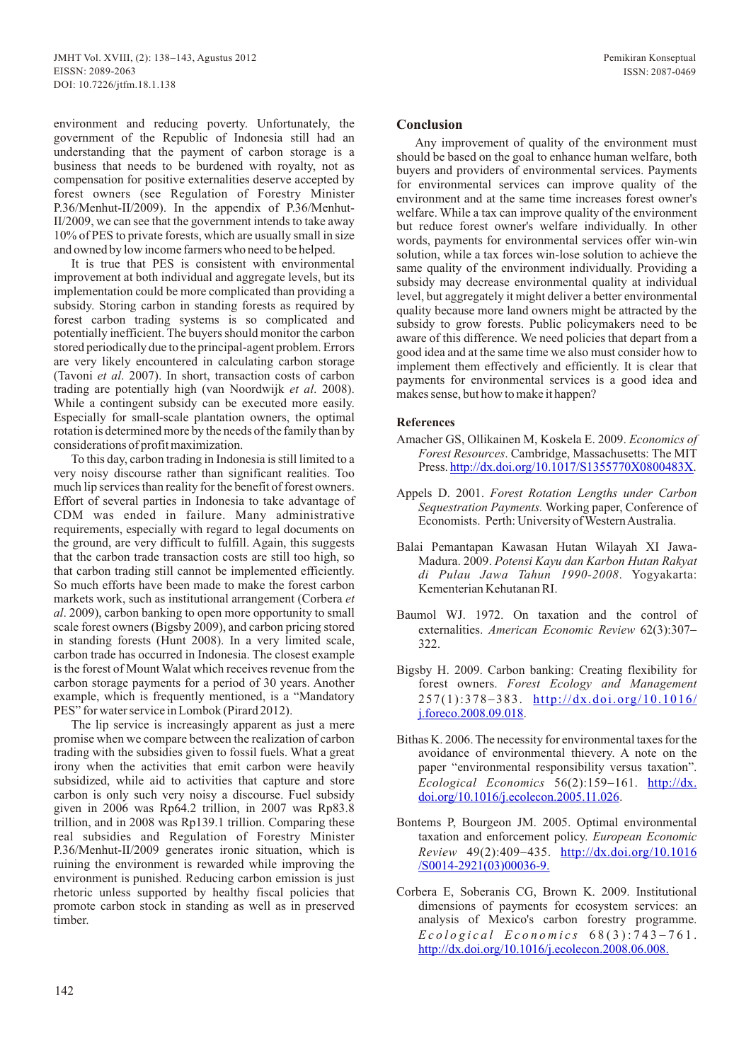environment and reducing poverty. Unfortunately, the government of the Republic of Indonesia still had an understanding that the payment of carbon storage is a business that needs to be burdened with royalty, not as compensation for positive externalities deserve accepted by forest owners (see Regulation of Forestry Minister P.36/Menhut-II/2009). In the appendix of P.36/Menhut-II/2009, we can see that the government intends to take away 10% of PES to private forests, which are usually small in size and owned by low income farmers who need to be helped.

It is true that PES is consistent with environmental improvement at both individual and aggregate levels, but its implementation could be more complicated than providing a subsidy. Storing carbon in standing forests as required by forest carbon trading systems is so complicated and potentially inefficient. The buyers should monitor the carbon stored periodically due to the principal-agent problem. Errors are very likely encountered in calculating carbon storage (Tavoni *et al*. 2007). In short, transaction costs of carbon trading are potentially high (van Noordwijk *et al*. 2008). While a contingent subsidy can be executed more easily. Especially for small-scale plantation owners, the optimal rotation is determined more by the needs of the family than by considerations of profit maximization.

To this day, carbon trading in Indonesia is still limited to a very noisy discourse rather than significant realities. Too much lip services than reality for the benefit of forest owners. Effort of several parties in Indonesia to take advantage of CDM was ended in failure. Many administrative requirements, especially with regard to legal documents on the ground, are very difficult to fulfill. Again, this suggests that the carbon trade transaction costs are still too high, so that carbon trading still cannot be implemented efficiently. So much efforts have been made to make the forest carbon markets work, such as institutional arrangement (Corbera *et al*. 2009), carbon banking to open more opportunity to small scale forest owners (Bigsby 2009), and carbon pricing stored in standing forests (Hunt 2008). In a very limited scale, carbon trade has occurred in Indonesia. The closest example is the forest of Mount Walat which receives revenue from the carbon storage payments for a period of 30 years. Another example, which is frequently mentioned, is a "Mandatory PES" for water service in Lombok (Pirard 2012).

The lip service is increasingly apparent as just a mere promise when we compare between the realization of carbon trading with the subsidies given to fossil fuels. What a great irony when the activities that emit carbon were heavily subsidized, while aid to activities that capture and store carbon is only such very noisy a discourse. Fuel subsidy given in 2006 was Rp64.2 trillion, in 2007 was Rp83.8 trillion, and in 2008 was Rp139.1 trillion. Comparing these real subsidies and Regulation of Forestry Minister P.36/Menhut-II/2009 generates ironic situation, which is ruining the environment is rewarded while improving the environment is punished. Reducing carbon emission is just rhetoric unless supported by healthy fiscal policies that promote carbon stock in standing as well as in preserved timber.

# **Conclusion**

Any improvement of quality of the environment must should be based on the goal to enhance human welfare, both buyers and providers of environmental services. Payments for environmental services can improve quality of the environment and at the same time increases forest owner's welfare. While a tax can improve quality of the environment but reduce forest owner's welfare individually. In other words, payments for environmental services offer win-win solution, while a tax forces win-lose solution to achieve the same quality of the environment individually. Providing a subsidy may decrease environmental quality at individual level, but aggregately it might deliver a better environmental quality because more land owners might be attracted by the subsidy to grow forests. Public policymakers need to be aware of this difference. We need policies that depart from a good idea and at the same time we also must consider how to implement them effectively and efficiently. It is clear that payments for environmental services is a good idea and makes sense, but how to make it happen?

### **References**

- Amacher GS, Ollikainen M, Koskela E. 2009. *Economics of Forest Resources*. Cambridge, Massachusetts: The MIT Press.http://dx.doi.org/10.1017/S1355770X0800483X.
- Appels D. 2001. *Forest Rotation Lengths under Carbon Sequestration Payments.* Working paper, Conference of Economists. Perth: University of Western Australia.
- Balai Pemantapan Kawasan Hutan Wilayah XI Jawa-Madura. 2009. *Potensi Kayu dan Karbon Hutan Rakyat di Pulau Jawa Tahun 1990-2008*. Yogyakarta: Kementerian Kehutanan RI.
- Baumol WJ. 1972. On taxation and the control of externalities. *American Economic Review* 62(3):307- 322.
- Bigsby H. 2009. Carbon banking: Creating flexibility for forest owners. *Forest Ecology and Management* 257(1):378-383. [http://dx.doi.org/10.1016/](http://dx.doi.org/10.1016/j.foreco.2008.09.018) . j.foreco.2008.09.018
- Bithas K. 2006. The necessity for environmental taxes for the avoidance of environmental thievery. A note on the paper "environmental responsibility versus taxation". *Ecological Economics* 56(2):159-161. http://dx. . [doi.org/10.1016/j.ecolecon.2005.11.026](http://dx.doi.org/10.1016/j.ecolecon.2005.11.026)
- Bontems P, Bourgeon JM. 2005. Optimal environmental taxation and enforcement policy. *European Economic Review* 49(2):409-435. [http://dx.doi.org/10.1016](http://dx.doi.org/10.1016/S0014-2921(03)00036-9.) /S0014-2921(03)00036-9.
- Corbera E, Soberanis CG, Brown K. 2009. Institutional dimensions of payments for ecosystem services: an analysis of Mexico's carbon forestry programme.  $E$ cological  $E$ conomics 68(3):743-761. [http://dx.doi.org/10.1016/j.ecolecon.2008.06.008.](http://dx.doi.org/10.1016/j.ecolecon.2008.06.008)